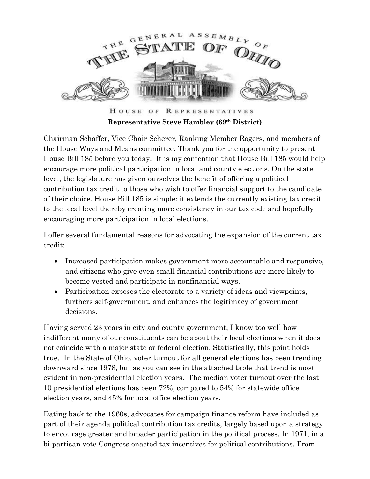

HOUSE OF REPRESENTATIVES **Representative Steve Hambley (69th District)** 

Chairman Schaffer, Vice Chair Scherer, Ranking Member Rogers, and members of the House Ways and Means committee. Thank you for the opportunity to present House Bill 185 before you today. It is my contention that House Bill 185 would help encourage more political participation in local and county elections. On the state level, the legislature has given ourselves the benefit of offering a political contribution tax credit to those who wish to offer financial support to the candidate of their choice. House Bill 185 is simple: it extends the currently existing tax credit to the local level thereby creating more consistency in our tax code and hopefully encouraging more participation in local elections.

I offer several fundamental reasons for advocating the expansion of the current tax credit:

- Increased participation makes government more accountable and responsive, and citizens who give even small financial contributions are more likely to become vested and participate in nonfinancial ways.
- Participation exposes the electorate to a variety of ideas and viewpoints, furthers self-government, and enhances the legitimacy of government decisions.

Having served 23 years in city and county government, I know too well how indifferent many of our constituents can be about their local elections when it does not coincide with a major state or federal election. Statistically, this point holds true. In the State of Ohio, voter turnout for all general elections has been trending downward since 1978, but as you can see in the attached table that trend is most evident in non-presidential election years. The median voter turnout over the last 10 presidential elections has been 72%, compared to 54% for statewide office election years, and 45% for local office election years.

Dating back to the 1960s, advocates for campaign finance reform have included as part of their agenda political contribution tax credits, largely based upon a strategy to encourage greater and broader participation in the political process. In 1971, in a bi-partisan vote Congress enacted tax incentives for political contributions. From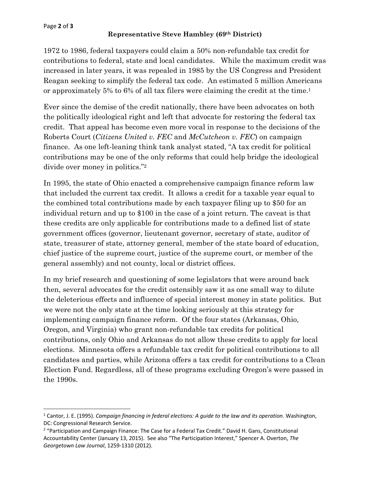#### Page **2** of **3**

## **Representative Steve Hambley (69th District)**

1972 to 1986, federal taxpayers could claim a 50% non-refundable tax credit for contributions to federal, state and local candidates. While the maximum credit was increased in later years, it was repealed in 1985 by the US Congress and President Reagan seeking to simplify the federal tax code. An estimated 5 million Americans or approximately 5% to 6% of all tax filers were claiming the credit at the time.<sup>1</sup>

Ever since the demise of the credit nationally, there have been advocates on both the politically ideological right and left that advocate for restoring the federal tax credit. That appeal has become even more vocal in response to the decisions of the Roberts Court (*Citizens United v. FEC* and *McCutcheon v. FEC*) on campaign finance. As one left-leaning think tank analyst stated, "A tax credit for political contributions may be one of the only reforms that could help bridge the ideological divide over money in politics."2

In 1995, the state of Ohio enacted a comprehensive campaign finance reform law that included the current tax credit. It allows a credit for a taxable year equal to the combined total contributions made by each taxpayer filing up to \$50 for an individual return and up to \$100 in the case of a joint return. The caveat is that these credits are only applicable for contributions made to a defined list of state government offices (governor, lieutenant governor, secretary of state, auditor of state, treasurer of state, attorney general, member of the state board of education, chief justice of the supreme court, justice of the supreme court, or member of the general assembly) and not county, local or district offices.

In my brief research and questioning of some legislators that were around back then, several advocates for the credit ostensibly saw it as one small way to dilute the deleterious effects and influence of special interest money in state politics. But we were not the only state at the time looking seriously at this strategy for implementing campaign finance reform. Of the four states (Arkansas, Ohio, Oregon, and Virginia) who grant non-refundable tax credits for political contributions, only Ohio and Arkansas do not allow these credits to apply for local elections. Minnesota offers a refundable tax credit for political contributions to all candidates and parties, while Arizona offers a tax credit for contributions to a Clean Election Fund. Regardless, all of these programs excluding Oregon's were passed in the 1990s.

<sup>&</sup>lt;sup>1</sup> Cantor, J. E. (1995). *Campaign financing in federal elections: A guide to the law and its operation. Washington,* DC: Congressional Research Service.

<sup>&</sup>lt;sup>2</sup> "Participation and Campaign Finance: The Case for a Federal Tax Credit." David H. Gans, Constitutional Accountability Center (January 13, 2015). See also "The Participation Interest," Spencer A. Overton, *The Georgetown Law Journal*, 1259‐1310 (2012).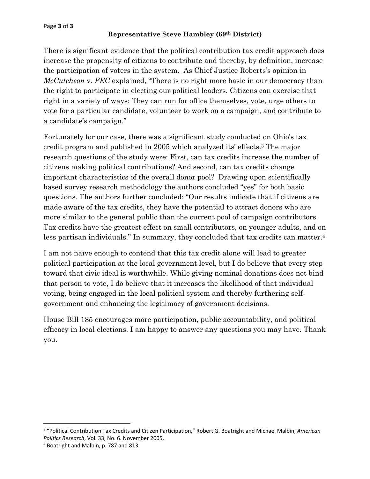#### Page **3** of **3**

### **Representative Steve Hambley (69th District)**

There is significant evidence that the political contribution tax credit approach does increase the propensity of citizens to contribute and thereby, by definition, increase the participation of voters in the system. As Chief Justice Roberts's opinion in *McCutcheon* v. *FEC* explained, "There is no right more basic in our democracy than the right to participate in electing our political leaders. Citizens can exercise that right in a variety of ways: They can run for office themselves, vote, urge others to vote for a particular candidate, volunteer to work on a campaign, and contribute to a candidate's campaign."

Fortunately for our case, there was a significant study conducted on Ohio's tax credit program and published in 2005 which analyzed its' effects.3 The major research questions of the study were: First, can tax credits increase the number of citizens making political contributions? And second, can tax credits change important characteristics of the overall donor pool? Drawing upon scientifically based survey research methodology the authors concluded "yes" for both basic questions. The authors further concluded: "Our results indicate that if citizens are made aware of the tax credits, they have the potential to attract donors who are more similar to the general public than the current pool of campaign contributors. Tax credits have the greatest effect on small contributors, on younger adults, and on less partisan individuals." In summary, they concluded that tax credits can matter.4

I am not naïve enough to contend that this tax credit alone will lead to greater political participation at the local government level, but I do believe that every step toward that civic ideal is worthwhile. While giving nominal donations does not bind that person to vote, I do believe that it increases the likelihood of that individual voting, being engaged in the local political system and thereby furthering selfgovernment and enhancing the legitimacy of government decisions.

House Bill 185 encourages more participation, public accountability, and political efficacy in local elections. I am happy to answer any questions you may have. Thank you.

<sup>3</sup> "Political Contribution Tax Credits and Citizen Participation," Robert G. Boatright and Michael Malbin, *American Politics Research*, Vol. 33, No. 6. November 2005.

<sup>4</sup> Boatright and Malbin, p. 787 and 813.